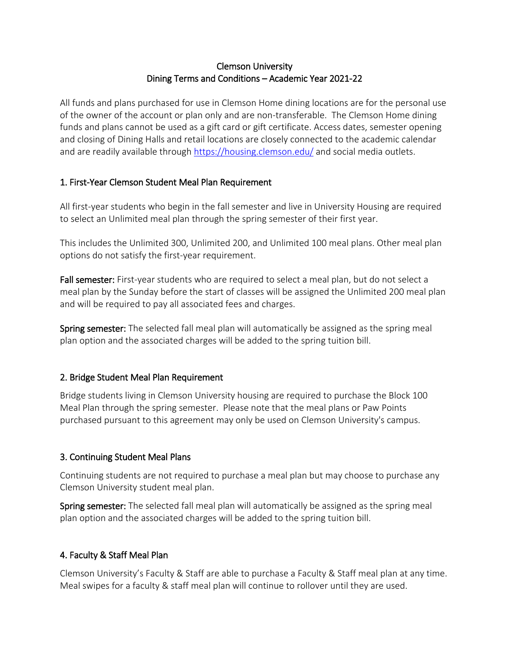### Clemson University Dining Terms and Conditions – Academic Year 2021-22

All funds and plans purchased for use in Clemson Home dining locations are for the personal use of the owner of the account or plan only and are non-transferable. The Clemson Home dining funds and plans cannot be used as a gift card or gift certificate. Access dates, semester opening and closing of Dining Halls and retail locations are closely connected to the academic calendar and are readily available through<https://housing.clemson.edu/> and social media outlets.

## 1. First-Year Clemson Student Meal Plan Requirement

All first-year students who begin in the fall semester and live in University Housing are required to select an Unlimited meal plan through the spring semester of their first year.

This includes the Unlimited 300, Unlimited 200, and Unlimited 100 meal plans. Other meal plan options do not satisfy the first-year requirement.

Fall semester: First-year students who are required to select a meal plan, but do not select a meal plan by the Sunday before the start of classes will be assigned the Unlimited 200 meal plan and will be required to pay all associated fees and charges.

Spring semester: The selected fall meal plan will automatically be assigned as the spring meal plan option and the associated charges will be added to the spring tuition bill.

# 2. Bridge Student Meal Plan Requirement

Bridge students living in Clemson University housing are required to purchase the Block 100 Meal Plan through the spring semester. Please note that the meal plans or Paw Points purchased pursuant to this agreement may only be used on Clemson University's campus.

# 3. Continuing Student Meal Plans

Continuing students are not required to purchase a meal plan but may choose to purchase any Clemson University student meal plan.

Spring semester: The selected fall meal plan will automatically be assigned as the spring meal plan option and the associated charges will be added to the spring tuition bill.

#### 4. Faculty & Staff Meal Plan

Clemson University's Faculty & Staff are able to purchase a Faculty & Staff meal plan at any time. Meal swipes for a faculty & staff meal plan will continue to rollover until they are used.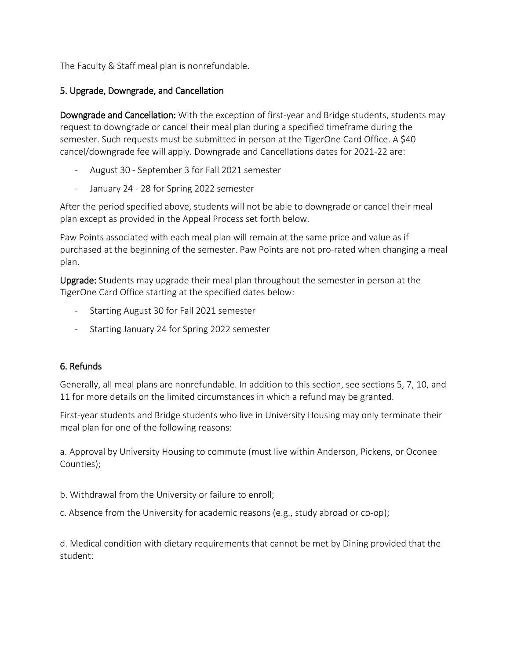The Faculty & Staff meal plan is nonrefundable.

## 5. Upgrade, Downgrade, and Cancellation

Downgrade and Cancellation: With the exception of first-year and Bridge students, students may request to downgrade or cancel their meal plan during a specified timeframe during the semester. Such requests must be submitted in person at the TigerOne Card Office. A \$40 cancel/downgrade fee will apply. Downgrade and Cancellations dates for 2021-22 are:

- August 30 September 3 for Fall 2021 semester
- January 24 28 for Spring 2022 semester

After the period specified above, students will not be able to downgrade or cancel their meal plan except as provided in the Appeal Process set forth below.

Paw Points associated with each meal plan will remain at the same price and value as if purchased at the beginning of the semester. Paw Points are not pro-rated when changing a meal plan.

Upgrade: Students may upgrade their meal plan throughout the semester in person at the TigerOne Card Office starting at the specified dates below:

- Starting August 30 for Fall 2021 semester
- Starting January 24 for Spring 2022 semester

#### 6. Refunds

Generally, all meal plans are nonrefundable. In addition to this section, see sections 5, 7, 10, and 11 for more details on the limited circumstances in which a refund may be granted.

First-year students and Bridge students who live in University Housing may only terminate their meal plan for one of the following reasons:

a. Approval by University Housing to commute (must live within Anderson, Pickens, or Oconee Counties);

b. Withdrawal from the University or failure to enroll;

c. Absence from the University for academic reasons (e.g., study abroad or co-op);

d. Medical condition with dietary requirements that cannot be met by Dining provided that the student: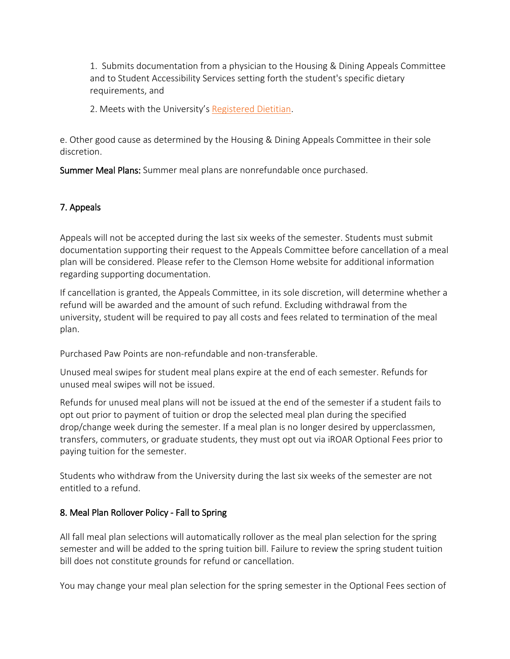1. Submits documentation from a physician to the Housing & Dining Appeals Committee and to Student Accessibility Services setting forth the student's specific dietary requirements, and

2. Meets with the University's [Registered Dietitian.](mailto:nutrition@clemson.edu)

e. Other good cause as determined by the Housing & Dining Appeals Committee in their sole discretion.

Summer Meal Plans: Summer meal plans are nonrefundable once purchased.

## 7. Appeals

Appeals will not be accepted during the last six weeks of the semester. Students must submit documentation supporting their request to the Appeals Committee before cancellation of a meal plan will be considered. Please refer to the Clemson Home website for additional information regarding supporting documentation.

If cancellation is granted, the Appeals Committee, in its sole discretion, will determine whether a refund will be awarded and the amount of such refund. Excluding withdrawal from the university, student will be required to pay all costs and fees related to termination of the meal plan.

Purchased Paw Points are non-refundable and non-transferable.

Unused meal swipes for student meal plans expire at the end of each semester. Refunds for unused meal swipes will not be issued.

Refunds for unused meal plans will not be issued at the end of the semester if a student fails to opt out prior to payment of tuition or drop the selected meal plan during the specified drop/change week during the semester. If a meal plan is no longer desired by upperclassmen, transfers, commuters, or graduate students, they must opt out via iROAR Optional Fees prior to paying tuition for the semester.

Students who withdraw from the University during the last six weeks of the semester are not entitled to a refund.

#### 8. Meal Plan Rollover Policy - Fall to Spring

All fall meal plan selections will automatically rollover as the meal plan selection for the spring semester and will be added to the spring tuition bill. Failure to review the spring student tuition bill does not constitute grounds for refund or cancellation.

You may change your meal plan selection for the spring semester in the Optional Fees section of